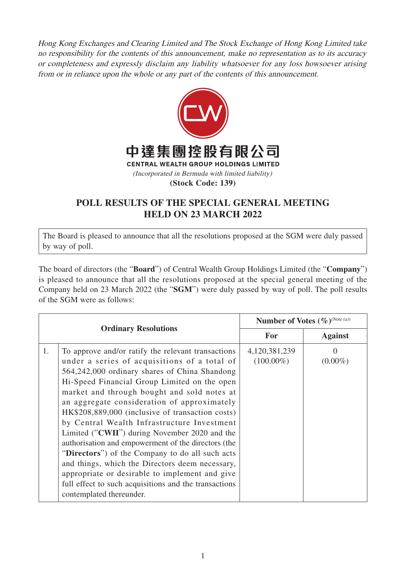Hong Kong Exchanges and Clearing Limited and The Stock Exchange of Hong Kong Limited take no responsibility for the contents of this announcement, make no representation as to its accuracy or completeness and expressly disclaim any liability whatsoever for any loss howsoever arising from or in reliance upon the whole or any part of the contents of this announcement.



## **POLL RESULTS OF THE SPECIAL GENERAL MEETING HELD ON 23 MARCH 2022**

The Board is pleased to announce that all the resolutions proposed at the SGM were duly passed by way of poll.

The board of directors (the "**Board**") of Central Wealth Group Holdings Limited (the "**Company**") is pleased to announce that all the resolutions proposed at the special general meeting of the Company held on 23 March 2022 (the "**SGM**") were duly passed by way of poll. The poll results of the SGM were as follows:

| <b>Ordinary Resolutions</b> |                                                                                                                                                                                                                                                                                                                                                                                                                                                                                                                                                                                                                                                                                                                                                           | Number of Votes (%) <sup>(Note (a))</sup> |                        |
|-----------------------------|-----------------------------------------------------------------------------------------------------------------------------------------------------------------------------------------------------------------------------------------------------------------------------------------------------------------------------------------------------------------------------------------------------------------------------------------------------------------------------------------------------------------------------------------------------------------------------------------------------------------------------------------------------------------------------------------------------------------------------------------------------------|-------------------------------------------|------------------------|
|                             |                                                                                                                                                                                                                                                                                                                                                                                                                                                                                                                                                                                                                                                                                                                                                           | <b>For</b>                                | <b>Against</b>         |
| 1.                          | To approve and/or ratify the relevant transactions<br>under a series of acquisitions of a total of<br>564,242,000 ordinary shares of China Shandong<br>Hi-Speed Financial Group Limited on the open<br>market and through bought and sold notes at<br>an aggregate consideration of approximately<br>HK\$208,889,000 (inclusive of transaction costs)<br>by Central Wealth Infrastructure Investment<br>Limited ("CWII") during November 2020 and the<br>authorisation and empowerment of the directors (the<br>"Directors") of the Company to do all such acts<br>and things, which the Directors deem necessary,<br>appropriate or desirable to implement and give<br>full effect to such acquisitions and the transactions<br>contemplated thereunder. | 4,120,381,239<br>$(100.00\%)$             | $\Omega$<br>$(0.00\%)$ |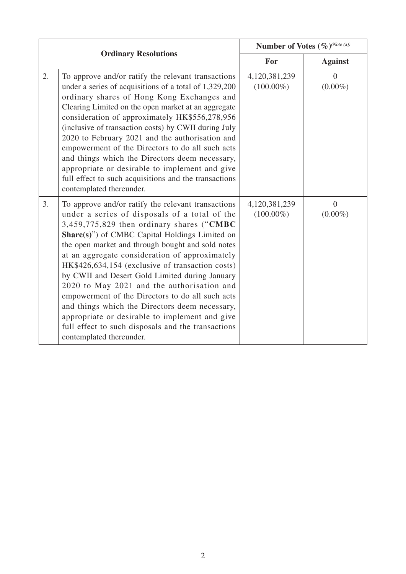|    |                                                                                                                                                                                                                                                                                                                                                                                                                                                                                                                                                                                                                                                                                                         | Number of Votes (%) <sup>(Note (a))</sup> |                              |
|----|---------------------------------------------------------------------------------------------------------------------------------------------------------------------------------------------------------------------------------------------------------------------------------------------------------------------------------------------------------------------------------------------------------------------------------------------------------------------------------------------------------------------------------------------------------------------------------------------------------------------------------------------------------------------------------------------------------|-------------------------------------------|------------------------------|
|    | <b>Ordinary Resolutions</b>                                                                                                                                                                                                                                                                                                                                                                                                                                                                                                                                                                                                                                                                             | For                                       | <b>Against</b>               |
| 2. | To approve and/or ratify the relevant transactions<br>under a series of acquisitions of a total of 1,329,200<br>ordinary shares of Hong Kong Exchanges and<br>Clearing Limited on the open market at an aggregate<br>consideration of approximately HK\$556,278,956<br>(inclusive of transaction costs) by CWII during July<br>2020 to February 2021 and the authorisation and<br>empowerment of the Directors to do all such acts<br>and things which the Directors deem necessary,<br>appropriate or desirable to implement and give<br>full effect to such acquisitions and the transactions<br>contemplated thereunder.                                                                             | 4,120,381,239<br>$(100.00\%)$             | $\overline{0}$<br>$(0.00\%)$ |
| 3. | To approve and/or ratify the relevant transactions<br>under a series of disposals of a total of the<br>3,459,775,829 then ordinary shares ("CMBC<br>Share(s)") of CMBC Capital Holdings Limited on<br>the open market and through bought and sold notes<br>at an aggregate consideration of approximately<br>HK\$426,634,154 (exclusive of transaction costs)<br>by CWII and Desert Gold Limited during January<br>2020 to May 2021 and the authorisation and<br>empowerment of the Directors to do all such acts<br>and things which the Directors deem necessary,<br>appropriate or desirable to implement and give<br>full effect to such disposals and the transactions<br>contemplated thereunder. | 4,120,381,239<br>$(100.00\%)$             | $\overline{0}$<br>$(0.00\%)$ |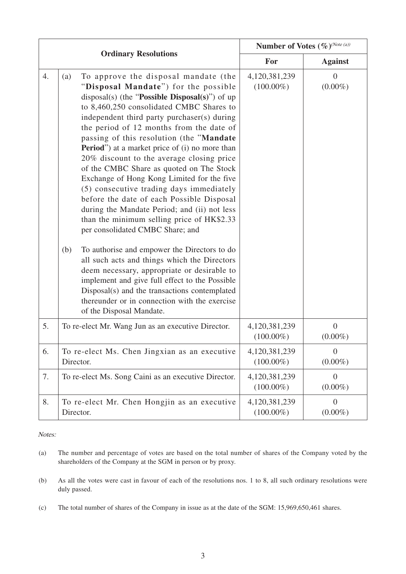|    | <b>Ordinary Resolutions</b>                                                                                                                                                                                                                                                                                                                                                                                                                                                                                                                                                                                                                                                                                                                          |  | Number of Votes (%) <sup>(Note (a))</sup> |                              |
|----|------------------------------------------------------------------------------------------------------------------------------------------------------------------------------------------------------------------------------------------------------------------------------------------------------------------------------------------------------------------------------------------------------------------------------------------------------------------------------------------------------------------------------------------------------------------------------------------------------------------------------------------------------------------------------------------------------------------------------------------------------|--|-------------------------------------------|------------------------------|
|    |                                                                                                                                                                                                                                                                                                                                                                                                                                                                                                                                                                                                                                                                                                                                                      |  | For                                       | <b>Against</b>               |
| 4. | To approve the disposal mandate (the<br>(a)<br>"Disposal Mandate") for the possible<br>disposal(s) (the "Possible Disposal(s)") of up<br>to 8,460,250 consolidated CMBC Shares to<br>independent third party purchaser(s) during<br>the period of 12 months from the date of<br>passing of this resolution (the "Mandate<br><b>Period</b> ") at a market price of (i) no more than<br>20% discount to the average closing price<br>of the CMBC Share as quoted on The Stock<br>Exchange of Hong Kong Limited for the five<br>(5) consecutive trading days immediately<br>before the date of each Possible Disposal<br>during the Mandate Period; and (ii) not less<br>than the minimum selling price of HK\$2.33<br>per consolidated CMBC Share; and |  | 4,120,381,239<br>$(100.00\%)$             | $\theta$<br>$(0.00\%)$       |
|    | (b)<br>To authorise and empower the Directors to do<br>all such acts and things which the Directors<br>deem necessary, appropriate or desirable to<br>implement and give full effect to the Possible<br>Disposal(s) and the transactions contemplated<br>thereunder or in connection with the exercise<br>of the Disposal Mandate.                                                                                                                                                                                                                                                                                                                                                                                                                   |  |                                           |                              |
| 5. | To re-elect Mr. Wang Jun as an executive Director.                                                                                                                                                                                                                                                                                                                                                                                                                                                                                                                                                                                                                                                                                                   |  | 4,120,381,239<br>$(100.00\%)$             | $\overline{0}$<br>$(0.00\%)$ |
| 6. | To re-elect Ms. Chen Jingxian as an executive<br>Director.                                                                                                                                                                                                                                                                                                                                                                                                                                                                                                                                                                                                                                                                                           |  | 4,120,381,239<br>$(100.00\%)$             | $\overline{0}$<br>$(0.00\%)$ |
| 7. | To re-elect Ms. Song Caini as an executive Director.                                                                                                                                                                                                                                                                                                                                                                                                                                                                                                                                                                                                                                                                                                 |  | 4,120,381,239<br>$(100.00\%)$             | $\overline{0}$<br>$(0.00\%)$ |
| 8. | To re-elect Mr. Chen Hongjin as an executive<br>Director.                                                                                                                                                                                                                                                                                                                                                                                                                                                                                                                                                                                                                                                                                            |  | 4,120,381,239<br>$(100.00\%)$             | $\overline{0}$<br>$(0.00\%)$ |

Notes:

(a) The number and percentage of votes are based on the total number of shares of the Company voted by the shareholders of the Company at the SGM in person or by proxy.

- (b) As all the votes were cast in favour of each of the resolutions nos. 1 to 8, all such ordinary resolutions were duly passed.
- (c) The total number of shares of the Company in issue as at the date of the SGM: 15,969,650,461 shares.